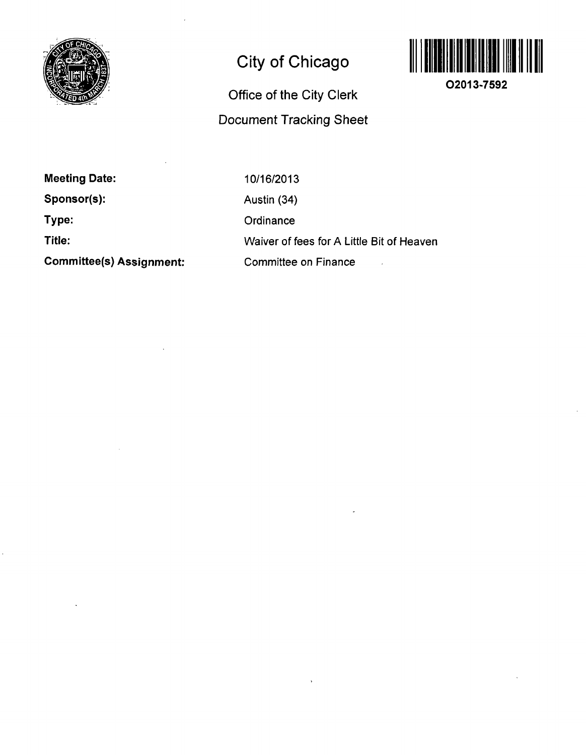

# **City of Chicago**

## **Office of the City Clerk Document Tracking Sheet**



**O2013-7592** 

**Meeting Date: Sponsor(s): Type: Title: Committee(s) Assignment:** 

10/16/2013 Austin (34) **Ordinance** Waiver of fees for A Little Bit of Heaven Committee on Finance  $\ddot{\phantom{a}}$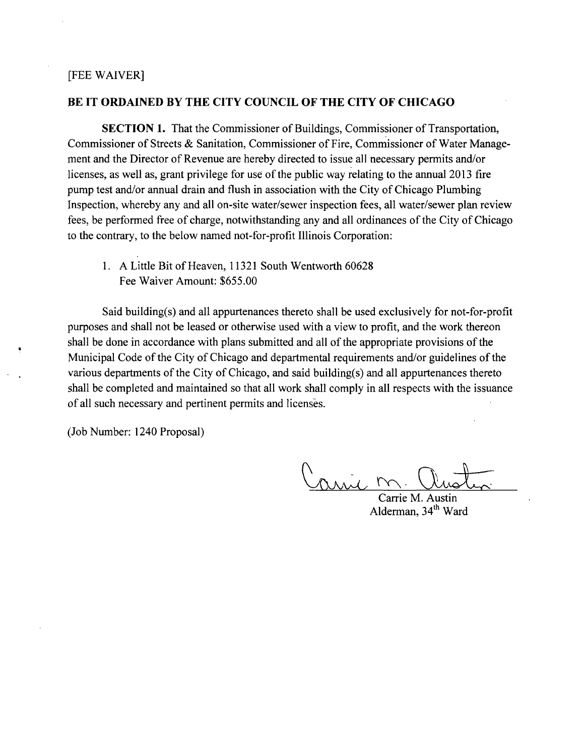### [FEE WAIVER]

### **BE IT ORDAINED BY THE CITY COUNCIL OF THE CITY OF CHICAGO**

SECTION 1. That the Commissioner of Buildings, Commissioner of Transportation, Commissioner of Streets & Sanitation, Commissioner of Fire, Commissioner of Water Management and the Director of Revenue are hereby directed to issue all necessary permits and/or licenses, as well as, grant privilege for use of the public way relating to the annual 2013 fire pump test and/or annual drain and flush in association with the City of Chicago Plumbing Inspection, whereby any and all on-site water/sewer inspection fees, all water/sewer plan review fees, be performed free of charge, notwithstanding any and all ordinances of the City of Chicago to the contrary, to the below named not-for-profit Illinois Corporation:

1. A Little Bit of Heaven, 11321 South Wentworth 60628 Fee Waiver Amount: \$655.00

Said building(s) and all appurtenances thereto shall be used exclusively for not-for-profit purposes and shall not be leased or otherwise used with a view to profit, and the work thereon shall be done in accordance with plans submitted and all of the appropriate provisions of the Municipal Code of the City of Chicago and departmental requirements and/or guidelines of the various departments of the City of Chicago, and said building(s) and all appurtenances thereto shall be completed and maintained so that all work shall comply in all respects with the issuance of all such necessary and pertinent permits and licenses.

(Job Number: 1240 Proposal)

mil

Carrie M. Austin Alderman, 34<sup>th</sup> Ward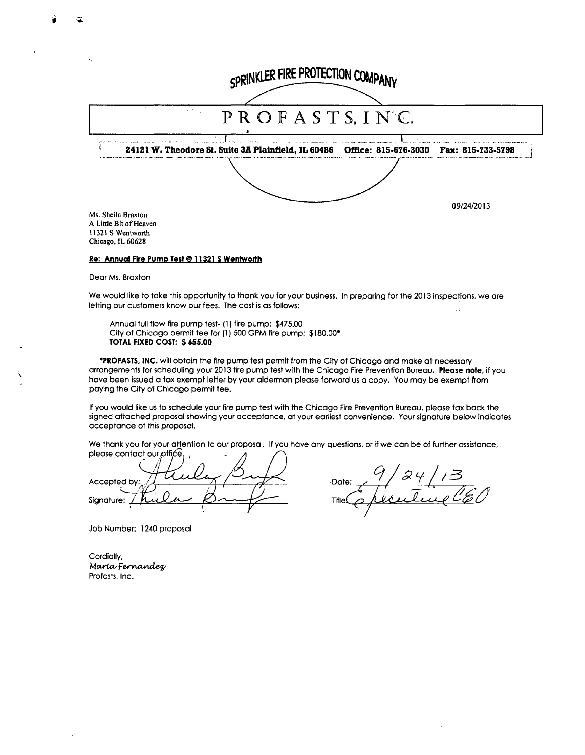| SPRINKLER FIRE PROTECTION COMPANY            |                                                     |                                        |            |
|----------------------------------------------|-----------------------------------------------------|----------------------------------------|------------|
|                                              |                                                     |                                        |            |
|                                              | PROFASTS, INC.                                      |                                        |            |
|                                              | 24121 W. Theodore St. Suite 3A Plainfield, IL 60486 | Office: 815-676-3030 Fax: 815-733-5798 |            |
|                                              |                                                     |                                        |            |
|                                              |                                                     |                                        | 09/24/2013 |
| Ms. Sheila Braxton<br>A Little Bit of Heaven |                                                     |                                        |            |

A Little Bit of Heaven 11321 S Wentworth Chicago, IL 60628

#### **Re: Annual Fire PumpTesf® 11321 S Wentworth**

Dear Ms. Braxton

We would like to take this opportunity to thank you for your business. In preparing for the 2013 inspections, we are letting our customers know our fees. The cost is as follows:  $\mathbb{Z}^2$ 

Annual full flow fire pump test- (1) fire pump: \$475.00 City of Chicago permit fee for (1) 500 GPM fire pump: \$180.00\* **TOTAL FIXED COST: \$ 655.00** 

•PROFASTS, INC. will obtain the fire pump test permit from the City of Chicago and make all necessary arrangements for scheduling your 2013 fire pump test with the Chicago Fire Prevention Bureau. Please note, if you have been issued a tax exempt letter by your alderman please forward us a copy. You may be exempt from paying the City of Chicago permit fee.

If you would like us to schedule your fire pump test with the Chicago Fire Prevention Bureau, please fax back the signed attached proposal showing your acceptance, at your earliest convenience. Your signature below indicates acceptance of this proposal.

We thank you for your attention to our proposal. If you have any questions, or if we can be of further assistance, please contact our office.

Accepted by Signature:

Date: Title

Job Number: 1240 proposal

Cordially, María Fernandez Profasts, Inc.